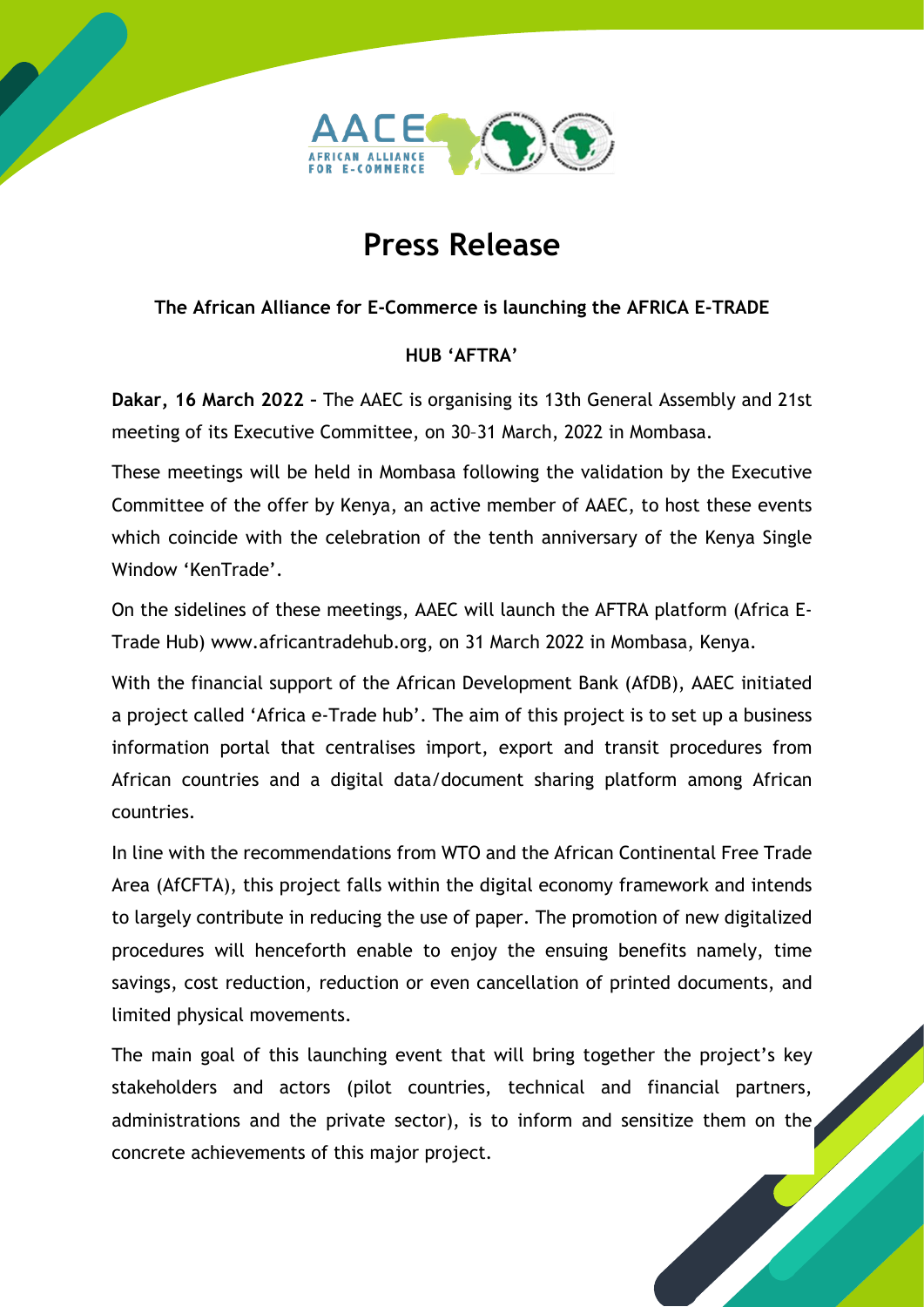

## **Press Release**

## **The African Alliance for E-Commerce is launching the AFRICA E-TRADE**

## **HUB 'AFTRA'**

**Dakar, 16 March 2022 –** The AAEC is organising its 13th General Assembly and 21st meeting of its Executive Committee, on 30–31 March, 2022 in Mombasa.

These meetings will be held in Mombasa following the validation by the Executive Committee of the offer by Kenya, an active member of AAEC, to host these events which coincide with the celebration of the tenth anniversary of the Kenya Single Window 'KenTrade'.

On the sidelines of these meetings, AAEC will launch the AFTRA platform (Africa E-Trade Hub) www.africantradehub.org, on 31 March 2022 in Mombasa, Kenya.

With the financial support of the African Development Bank (AfDB), AAEC initiated a project called 'Africa e-Trade hub'. The aim of this project is to set up a business information portal that centralises import, export and transit procedures from African countries and a digital data/document sharing platform among African countries.

In line with the recommendations from WTO and the African Continental Free Trade Area (AfCFTA), this project falls within the digital economy framework and intends to largely contribute in reducing the use of paper. The promotion of new digitalized procedures will henceforth enable to enjoy the ensuing benefits namely, time savings, cost reduction, reduction or even cancellation of printed documents, and limited physical movements.

The main goal of this launching event that will bring together the project's key stakeholders and actors (pilot countries, technical and financial partners, administrations and the private sector), is to inform and sensitize them on the concrete achievements of this major project.